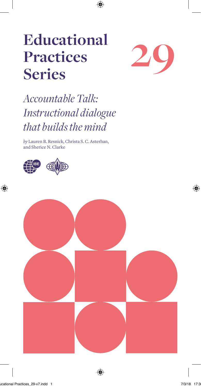# **Educational Practices Series**

⊕



## *Accountable Talk: Instructional dialogue that builds the mind*

*by* Lauren B. Resnick, Christa S. C. Asterhan, and Sherice N. Clarke



⊕



 $\bigoplus$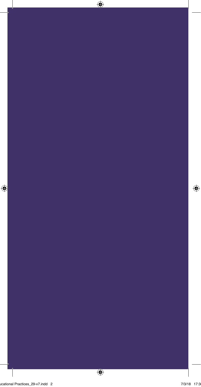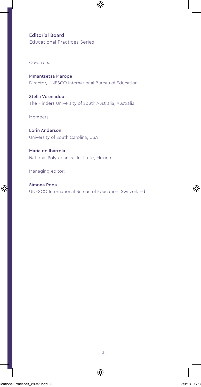

Editorial Board Educational Practices Series

### Co-chairs:

Mmantsetsa Marope Director, UNESCO International Bureau of Education

Stella Vosniadou The Flinders University of South Australia, Australia

Members:

Lorin Anderson University of South Carolina, USA

Maria de Ibarrola National Polytechnical Institute, Mexico

Managing editor:

⊕

Simona Popa UNESCO International Bureau of Education, Switzerland

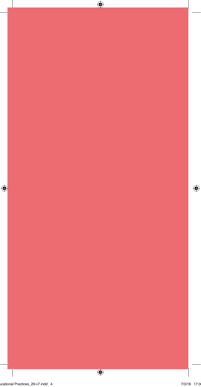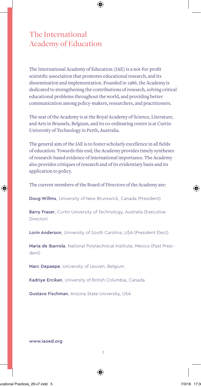### The International Academy of Education

The International Academy of Education (IAE) is a not-for-profit scientific association that promotes educational research, and its dissemination and implementation. Founded in 1986, the Academy is dedicated to strengthening the contributions of research, solving critical educational problems throughout the world, and providing better communication among policy-makers, researchers, and practitioners.

⊕

The seat of the Academy is at the Royal Academy of Science, Literature, and Arts in Brussels, Belgium, and its co-ordinating centre is at Curtin University of Technology in Perth, Australia.

The general aim of the IAE is to foster scholarly excellence in all fields of education. Towards this end, the Academy provides timely syntheses of research-based evidence of international importance. The Academy also provides critiques of research and of its evidentiary basis and its application to policy.

The current members of the Board of Directors of the Academy are:

Doug Willms, University of New Brunswick, Canada (President)

Barry Fraser, Curtin University of Technology, Australia (Executive Director)

Lorin Anderson, University of South Carolina, USA (President Elect)

Maria de Ibarrola, National Polytechnical Institute, Mexico (Past President)

Marc Depaepe, University of Leuven, Belgium

Kadriye Ercikan, University of British Columbia, Canada

Gustavo Fischman, Arizona State University, USA

#### www.iaoed.org

⊕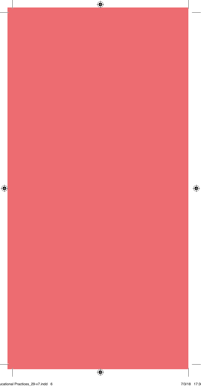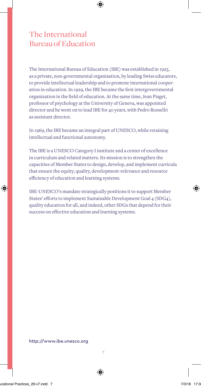### The International Bureau of Education

The International Bureau of Education (IBE) was established in 1925, as a private, non-governmental organisation, by leading Swiss educators, to provide intellectual leadership and to promote international cooperation in education. In 1929, the IBE became the first intergovernmental organization in the field of education. At the same time, Jean Piaget, professor of psychology at the University of Geneva, was appointed director and he went on to lead IBE for 40 years, with Pedro Rosselló as assistant director.

In 1969, the IBE became an integral part of UNESCO, while retaining intellectual and functional autonomy.

The IBE is a UNESCO Category I institute and a center of excellence in curriculum and related matters. Its mission is to strengthen the capacities of Member States to design, develop, and implement curricula that ensure the equity, quality, development-relevance and resource efficiency of education and learning systems.

IBE-UNESCO's mandate strategically positions it to support Member States' efforts to implement Sustainable Development Goal 4 (SDG4), quality education for all, and indeed, other SDGs that depend for their success on effective education and learning systems.

#### http://www.ibe.unesco.org

۰

⊕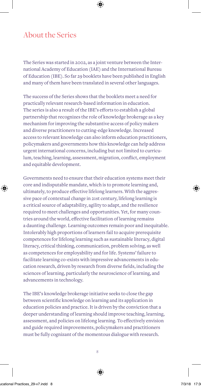### About the Series

⊕

The Series was started in 2002, as a joint venture between the International Academy of Education (IAE) and the International Bureau of Education (IBE). So far 29 booklets have been published in English and many of them have been translated in several other languages.

The success of the Series shows that the booklets meet a need for practically relevant research-based information in education. The series is also a result of the IBE's efforts to establish a global partnership that recognizes the role of knowledge brokerage as a key mechanism for improving the substantive access of policy makers and diverse practitioners to cutting-edge knowledge. Increased access to relevant knowledge can also inform education practitioners, policymakers and governments how this knowledge can help address urgent international concerns, including but not limited to curriculum, teaching, learning, assessment, migration, conflict, employment and equitable development.

Governments need to ensure that their education systems meet their core and indisputable mandate, which is to promote learning and, ultimately, to produce effective lifelong learners. With the aggressive pace of contextual change in 21st century, lifelong learning is a critical source of adaptability, agility to adapt, and the resilience required to meet challenges and opportunities. Yet, for many countries around the world, effective facilitation of learning remains a daunting challenge. Learning outcomes remain poor and inequitable. Intolerably high proportions of learners fail to acquire prerequisite competences for lifelong learning such as sustainable literacy, digital literacy, critical thinking, communication, problem solving, as well as competences for employability and for life. Systems' failure to facilitate learning co-exists with impressive advancements in education research, driven by research from diverse fields, including the sciences of learning, particularly the neuroscience of learning, and advancements in technology.

The IBE's knowledge brokerage initiative seeks to close the gap between scientific knowledge on learning and its application in education policies and practice. It is driven by the conviction that a deeper understanding of learning should improve teaching, learning, assessment, and policies on lifelong learning. To effectively envision and guide required improvements, policymakers and practitioners must be fully cognizant of the momentous dialogue with research.

⊕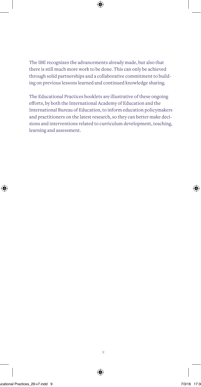The IBE recognizes the advancements already made, but also that there is still much more work to be done. This can only be achieved through solid partnerships and a collaborative commitment to building on previous lessons learned and continued knowledge sharing.

⊕

The Educational Practices booklets are illustrative of these ongoing efforts, by both the International Academy of Education and the International Bureau of Education, to inform education policymakers and practitioners on the latest research, so they can better make decisions and interventions related to curriculum development, teaching, learning and assessment.

⊕

⊕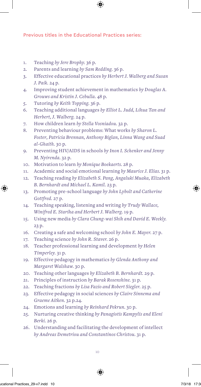### Previous titles in the Educational Practices series:

- 1. Teaching *by Jere Brophy.* 36 p.
- 2. Parents and learning *by Sam Redding.* 36 p.
- 3. Effective educational practices *by Herbert J. Walberg and Susan J. Paik.* 24 p.
- 4. Improving student achievement in mathematics *by Douglas A. Grouws and Kristin J. Cebulla.* 48 p.
- 5. Tutoring *by Keith Topping.* 36 p.
- 6. Teaching additional languages *by Elliot L. Judd, Lihua Tan and Herbert, J. Walberg.* 24 p.
- 7. How children learn *by Stella Vosniadou.* 32 p.
- 8. Preventing behaviour problems: What works *by Sharon L. Foster, Patricia Brennan, Anthony Biglan, Linna Wang and Suad al-Ghaith.* 30 p.
- 9. Preventing HIV/AIDS in schools *by Inon I. Schenker and Jenny M. Nyirenda.* 32 p.
- 10. Motivation to learn *by Monique Boekaerts.* 28 p.
- 11. Academic and social emotional learning *by Maurice J. Elias.* 31 p.
- 12. Teaching reading *by Elizabeth S. Pang, Angaluki Muaka, Elizabeth B. Bernhardt and Michael L. Kamil.* 23 p.
- 13. Promoting pre-school language *by John Lybolt and Catherine Gottfred.* 27 p.
- 14. Teaching speaking, listening and writing *by Trudy Wallace, Winifred E. Stariha and Herbert J. Walberg.* 19 p.
- 15. Using new media *by Clara Chung-wai Shih and David E. Weekly.*  23 p.
- 16. Creating a safe and welcoming school *by John E. Mayer.* 27 p.
- 17. Teaching science *by John R. Staver.* 26 p.
- 18. Teacher professional learning and development *by Helen Timperley.* 31 p.
- 19. Effective pedagogy in mathematics *by Glenda Anthony and Margaret Walshaw.* 30 p.
- 20. Teaching other languages *by Elizabeth B. Bernhardt.* 29 p.
- 21. Principles of instruction *by Barak Rosenshine.* 31 p.
- 22. Teaching fractions *by Lisa Fazio and Robert Siegler.* 25 p.
- 23. Effective pedagogy in social sciences *by Claire Sinnema and Graeme Aitken.* 32 p.24.
- 24. Emotions and learning *by Reinhard Pekrun.* 30 p.
- 25. Nurturing creative thinking *by Panagiotis Kampylis and Eleni Berki.* 26 p.
- 26. Understanding and facilitating the development of intellect *by Andreas Demetriou and Constantinos Christou.* 31 p.

⊕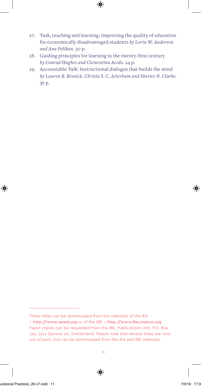27. Task, teaching and learning: Improving the quality of education for economically disadvantaged students *by Lorin W. Anderson and Ana Pešikan.* 30 p.

⊕

- 28. Guiding principles for learning in the twenty-first century *by Conrad Hughes and Clementina Acedo.* 24 p.
- 29. Accountable Talk: Instructional dialogue that builds the mind *by Lauren B. Resnick, Christa S. C. Asterham and Sherice N. Clarke.*  36 p.

⊕

These titles can be downloaded from the websites of the IEA → http://www.iaoed.org or of the IBE → http://www.ibe.unesco.org Paper copies can be requested from the IBE, Publications Unit, P.O. Box 199, 1211 Geneva 20, Switzerland. Please note that several titles are now out of print, but can be downloaded from the IEA and IBE websites.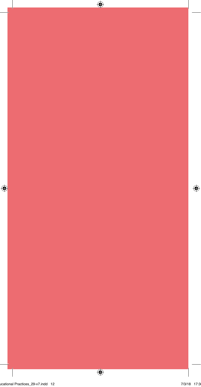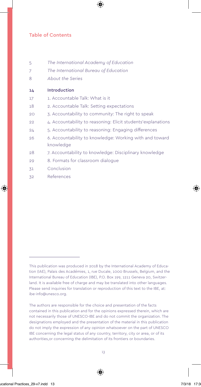### Table of Contents

| 5  | The International Academy of Education                               |
|----|----------------------------------------------------------------------|
| 7  | The International Bureau of Education                                |
| 8  | <b>About the Series</b>                                              |
| 14 | Introduction                                                         |
| 17 | 1. Accountable Talk: What is it                                      |
| 18 | 2. Accountable Talk: Setting expectations                            |
| 20 | 3. Accountability to community: The right to speak                   |
| 22 | 4. Accountability to reasoning: Elicit students'explanations         |
| 24 | 5. Accountability to reasoning: Engaging differences                 |
| 26 | 6. Accountability to knowledge: Working with and toward<br>knowledge |
| 28 | 7. Accountability to knowledge: Disciplinary knowledge               |
| 29 | 8. Formats for classroom dialogue                                    |
| 31 | Conclusion                                                           |
| 32 | References                                                           |

⊕

The authors are responsible for the choice and presentation of the facts contained in this publication and for the opinions expressed therein, which are not necessarily those of UNESCO-IBE and do not commit the organization. The designations employed and the presentation of the material in this publication do not imply the expression of any opinion whatsoever on the part of UNESCO IBE concerning the legal status of any country, territory, city or area, or of its authorities,or concerning the delimitation of its frontiers or boundaries.

⊕

⊕

This publication was produced in 2018 by the International Academy of Education (IAE), Palais des Académies, 1, rue Ducale, 1000 Brussels, Belgium, and the International Bureau of Education (IBE), P.O. Box 199, 1211 Geneva 20, Switzerland. It is available free of charge and may be translated into other languages. Please send inquiries for translation or reproduction of this text to the IBE, at: ibe-info@unesco.org.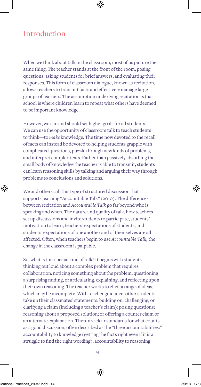### Introduction

When we think about talk in the classroom, most of us picture the same thing. The teacher stands at the front of the room, posing questions, asking students for brief answers, and evaluating their responses. This form of classroom dialogue, known as recitation, allows teachers to transmit facts and effectively manage large groups of learners. The assumption underlying recitation is that school is where children learn to repeat what others have deemed to be important knowledge.

However, we can and should set higher goals for all students. We can use the opportunity of classroom talk to teach students to think—to *make* knowledge. The time now devoted to the recall of facts can instead be devoted to helping students grapple with complicated questions, puzzle through new kinds of problems, and interpret complex texts. Rather than passively absorbing the small body of knowledge the teacher is able to transmit, students can learn reasoning skills by talking and arguing their way through problems to conclusions and solutions.

We and others call this type of structured discussion that supports learning "Accountable Talk" (2010). The differences between recitation and *Accountable Talk* go far beyond who is speaking and when. The nature and quality of talk, how teachers set up discussions and invite students to participate, students' motivation to learn, teachers' expectations of students, and students' expectations of one another and of themselves are all affected. Often, when teachers begin to use *Accountable Talk,* the change in the classroom is palpable.

So, what is this special kind of talk? It begins with students thinking out loud about a complex problem that requires collaboration: noticing something about the problem, questioning a surprising finding, or articulating, explaining, and reflecting upon their own reasoning. The teacher works to elicit a range of ideas, which may be incomplete. With teacher guidance, other students take up their classmates' statements: building on, challenging, or clarifying a claim (including a teacher's claim); posing questions; reasoning about a proposed solution; or offering a counter claim or an alternate explanation. There are clear standards for what counts as a good discussion, often described as the "three accountabilities:" accountability to knowledge (getting the facts right even if it is a struggle to find the right wording), accountability to reasoning

14

⊕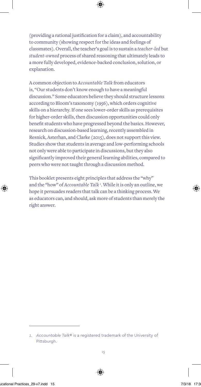(providing a rational justification for a claim), and accountability to community (showing respect for the ideas and feelings of classmates). Overall, the teacher's goal is to sustain a *teacher-led* but *student-owned* process of shared reasoning that ultimately leads to a more fully developed, evidence-backed conclusion, solution, or explanation.

A common objection to *Accountable Talk* from educators is, "Our students don't know enough to have a meaningful discussion." Some educators believe they should structure lessons according to Bloom's taxonomy (1956), which orders cognitive skills on a hierarchy. If one sees lower-order skills as prerequisites for higher-order skills, then discussion opportunities could only benefit students who have progressed beyond the basics. However, research on discussion-based learning, recently assembled in Resnick, Asterhan, and Clarke (2015), does not support this view. Studies show that students in average and low-performing schools not only were able to participate in discussions, but they also significantly improved their general learning abilities, compared to peers who were not taught through a discussion method.

This booklet presents eight principles that address the "why" and the "how" of *Accountable Talk* <sup>1</sup> . While it is only an outline, we hope it persuades readers that talk can be a thinking process. We as educators can, and should, ask more of students than merely the right answer.

⊕

*<sup>1.</sup> Accountable Talk®* is a registered trademark of the University of Pittsburgh.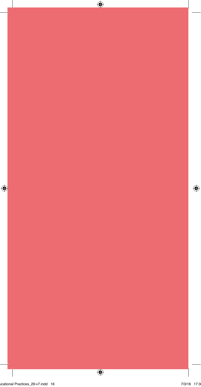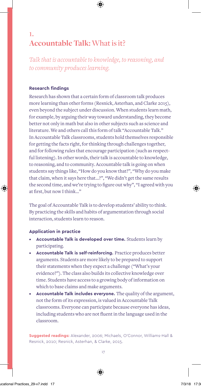### 1. **Accountable Talk:** What is it?

*Talk that is accountable to knowledge, to reasoning, and to community produces learning.*

#### **Research findings**

Research has shown that a certain form of classroom talk produces more learning than other forms (Resnick, Asterhan, and Clarke 2015), even beyond the subject under discussion. When students learn math, for example, by arguing their way toward understanding, they become better not only in math but also in other subjects such as science and literature. We and others call this form of talk "Accountable Talk." In Accountable Talk classrooms, students hold themselves responsible for getting the facts right, for thinking through challenges together, and for following rules that encourage participation (such as respectful listening). In other words, their talk is accountable to knowledge, to reasoning, and to community. Accountable talk is going on when students say things like, "How do you know that?", "Why do you make that claim, when it says here that…?", "We didn't get the same results the second time, and we're trying to figure out why", "I agreed with you at first, but now I think…"

The goal of Accountable Talk is to develop students' ability to think. By practicing the skills and habits of argumentation through social interaction, students learn to reason.

### **Application in practice**

⊕

- **• Accountable Talk is developed over time.** Students learn by participating.
- **• Accountable Talk is self-reinforcing.** Practice produces better arguments. Students are more likely to be prepared to support their statements when they expect a challenge ("What's your evidence?"). The class also builds its collective knowledge over time. Students have access to a growing body of information on which to base claims and make arguments.
- **• Accountable Talk includes everyone.** The quality of the argument, not the form of its expression, is valued in Accountable Talk classrooms. Everyone can participate because everyone has ideas, including students who are not fluent in the language used in the classroom.

**Suggested readings:** Alexander, 2006; Michaels, O'Connor, Williams-Hall & Resnick, 2010; Resnick, Asterhan, & Clarke, 2015.

⊕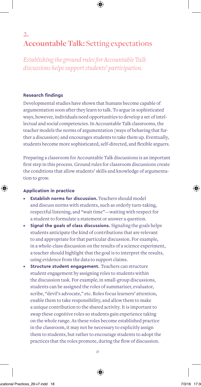### 2. **Accountable Talk:** Setting expectations

*Establishing the ground rules for Accountable Talk discussions helps support students' participation.*

### **Research findings**

Developmental studies have shown that humans become capable of argumentation soon after they learn to talk. To argue in sophisticated ways, however, individuals need opportunities to develop a set of intellectual and social competencies. In Accountable Talk classrooms, the teacher models the norms of argumentation (ways of behaving that further a discussion) and encourages students to take them up. Eventually, students become more sophisticated, self-directed, and flexible arguers.

Preparing a classroom for Accountable Talk discussions is an important first step in this process. Ground rules for classroom discussions create the conditions that allow students' skills and knowledge of argumentation to grow.

#### **Application in practice**

⊕

- **• Establish norms for discussion.** Teachers should model and discuss norms with students, such as orderly turn-taking, respectful listening, and "wait time"—waiting with respect for a student to formulate a statement or answer a question.
- **• Signal the goals of class discussions.** Signaling the goals helps students anticipate the kind of contributions that are relevant to and appropriate for that particular discussion. For example, in a whole-class discussion on the results of a science experiment, a teacher should highlight that the goal is to interpret the results, using evidence from the data to support claims.
- **• Structure student engagement.** Teachers can structure student engagement by assigning roles to students within the discussion task. For example, in small-group discussions, students can be assigned the roles of summarizer, evaluator, scribe, "devil's advocate," etc. Roles focus learners' attention, enable them to take responsibility, and allow them to make a unique contribution to the shared activity. It is important to swap these cognitive roles so students gain experience taking on the whole range. As these roles become established practice in the classroom, it may not be necessary to explicitly assign them to students, but rather to encourage students to adopt the practices that the roles promote, during the flow of discussion.

18

⊕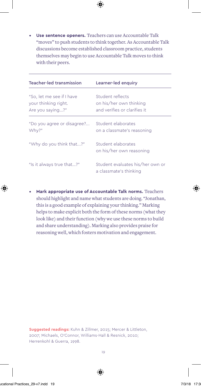**• Use sentence openers.** Teachers can use Accountable Talk "moves" to push students to think together. As Accountable Talk discussions become established classroom practice, students themselves may begin to use Accountable Talk moves to think with their peers.

⊕

| <b>Teacher-led transmission</b>                                       | Learner-led enquiry                                                         |
|-----------------------------------------------------------------------|-----------------------------------------------------------------------------|
| "So, let me see if I have<br>your thinking right.<br>Are you saying?" | Student reflects<br>on his/her own thinking<br>and verifies or clarifies it |
| "Do you agree or disagree?<br>Why?"                                   | Student elaborates<br>on a classmate's reasoning                            |
| "Why do you think that?"                                              | Student elaborates<br>on his/her own reasoning                              |
| "Is it always true that?"                                             | Student evaluates his/her own or<br>a classmate's thinking                  |

**• Mark appropriate use of Accountable Talk norms.** Teachers should highlight and name what students are doing. "Jonathan, this is a good example of explaining your thinking." Marking helps to make explicit both the form of these norms (what they look like) and their function (why we use these norms to build and share understanding). Marking also provides praise for reasoning well, which fosters motivation and engagement.

**Suggested readings:** Kuhn & Zillmer, 2015; Mercer & Littleton, 2007; Michaels, O'Connor, Williams-Hall & Resnick, 2010; Herrenkohl & Guerra, 1998.

⊕

⊕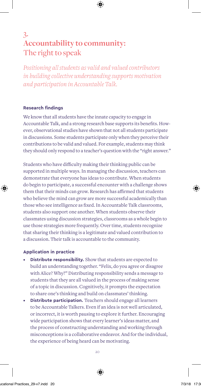### 3. **Accountability to community:**  The right to speak

*Positioning all students as valid and valued contributors in building collective understanding supports motivation and participation in Accountable Talk.*

#### **Research findings**

⊕

We know that all students have the innate capacity to engage in Accountable Talk, and a strong research base supports its benefits. However, observational studies have shown that not all students participate in discussions. Some students participate only when they perceive their contributions to be valid and valued. For example, students may think they should only respond to a teacher's question with the "right answer."

Students who have difficulty making their thinking public can be supported in multiple ways. In managing the discussion, teachers can demonstrate that everyone has ideas to contribute. When students do begin to participate, a successful encounter with a challenge shows them that their minds can grow. Research has affirmed that students who believe the mind can grow are more successful academically than those who see intelligence as fixed. In Accountable Talk classrooms, students also support one another. When students observe their classmates using discussion strategies, classrooms as a whole begin to use those strategies more frequently. Over time, students recognize that sharing their thinking is a legitimate and valued contribution to a discussion. Their talk is accountable to the community.

#### **Application in practice**

- **• Distribute responsibility.** Show that students are expected to build an understanding together. "Felix, do you agree or disagree with Alice? Why?" Distributing responsibility sends a message to students that they are all valued in the process of making sense of a topic in discussion. Cognitively, it prompts the expectation to share one's thinking and build on classmates' thinking.
- **• Distribute participation.** Teachers should engage all learners to be Accountable Talkers. Even if an idea is not well articulated, or incorrect, it is worth pausing to explore it further. Encouraging wide participation shows that every learner's ideas matter, and the process of constructing understanding and working through misconceptions is a collaborative endeavor. And for the individual, the experience of being heard can be motivating.

⊕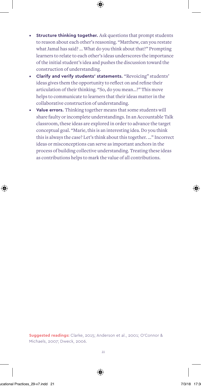

- **• Structure thinking together.** Ask questions that prompt students to reason about each other's reasoning. "Matthew, can you restate what Jamal has said? ... What do you think about that?" Prompting learners to relate to each other's ideas underscores the importance of the initial student's idea and pushes the discussion toward the construction of understanding.
- **• Clarify and verify students' statements.** "Revoicing" students' ideas gives them the opportunity to reflect on and refine their articulation of their thinking. "So, do you mean…?" This move helps to communicate to learners that their ideas matter in the collaborative construction of understanding.
- **• Value errors.** Thinking together means that some students will share faulty or incomplete understandings. In an Accountable Talk classroom, these ideas are explored in order to advance the target conceptual goal. "Marie, this is an interesting idea. Do you think this is always the case? Let's think about this together. ..." Incorrect ideas or misconceptions can serve as important anchors in the process of building collective understanding. Treating these ideas as contributions helps to mark the value of all contributions.

**Suggested readings:** Clarke, 2015; Anderson et al., 2001; O'Connor & Michaels, 2007; Dweck, 2006.

⊕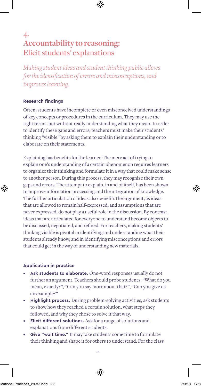### 4. **Accountability to reasoning:**  Elicit students' explanations

*Making student ideas and student thinking public allows for the identification of errors and misconceptions, and improves learning.*

### **Research findings**

⊕

Often, students have incomplete or even misconceived understandings of key concepts or procedures in the curriculum. They may use the right terms, but without really understanding what they mean. In order to identify these gaps and errors, teachers must make their students' thinking "visible" by asking them to explain their understanding or to elaborate on their statements.

Explaining has benefits for the learner. The mere act of trying to explain one's understanding of a certain phenomenon requires learners to organize their thinking and formulate it in a way that could make sense to another person. During this process, they may recognize their own gaps and errors. The attempt to explain, in and of itself, has been shown to improve information processing and the integration of knowledge. The further articulation of ideas also benefits the argument, as ideas that are allowed to remain half-expressed, and assumptions that are never expressed, do not play a useful role in the discussion. By contrast, ideas that are articulated for everyone to understand become objects to be discussed, negotiated, and refined. For teachers, making students' thinking visible is pivotal in identifying and understanding what their students already know, and in identifying misconceptions and errors that could get in the way of understanding new materials.

#### **Application in practice**

- **• Ask students to elaborate.** One-word responses usually do not further an argument. Teachers should probe students: "What do you mean, exactly?", "Can you say more about that?", "Can you give us an example?"
- **• Highlight process.** During problem-solving activities, ask students to show how they reached a certain solution, what steps they followed, and why they chose to solve it that way.
- **• Elicit different solutions.** Ask for a range of solutions and explanations from different students.
- **• Give "wait time."** It may take students some time to formulate their thinking and shape it for others to understand. For the class

⊕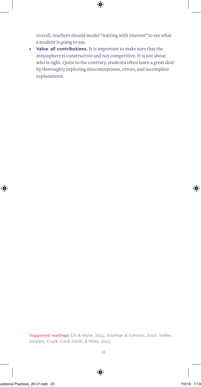overall, teachers should model "waiting with interest" to see what a student is going to say.

 $\bigoplus$ 

**• Value all contributions.** It is important to make sure that the atmosphere is constructive and not competitive. It is not about who is right. Quite to the contrary, students often learn a great deal by thoroughly exploring misconceptions, errors, and incomplete explanations.

**Suggested readings:** Chi & Wylie, 2014; Asterhan & Schwarz, 2007; Sadler, Sonnert, Coyle, Cook-Smith, & Miller, 2013.

⊕

⊕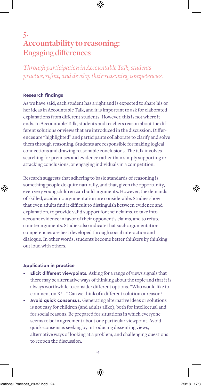### 5. **Accountability to reasoning:**  Engaging differences

*Through participation in Accountable Talk, students practice, refine, and develop their reasoning competencies.*

⊕

#### **Research findings**

⊕

As we have said, each student has a right and is expected to share his or her ideas in Accountable Talk, and it is important to ask for elaborated explanations from different students. However, this is not where it ends. In Accountable Talk, students and teachers reason about the different solutions or views that are introduced in the discussion. Differences are "highlighted" and participants collaborate to clarify and solve them through reasoning. Students are responsible for making logical connections and drawing reasonable conclusions. The talk involves searching for premises and evidence rather than simply supporting or attacking conclusions, or engaging individuals in a competition.

Research suggests that adhering to basic standards of reasoning is something people do quite naturally, and that, given the opportunity, even very young children can build arguments. However, the demands of skilled, academic argumentation are considerable. Studies show that even adults find it difficult to distinguish between evidence and explanation, to provide valid support for their claims, to take into account evidence in favor of their opponent's claims, and to refute counterarguments. Studies also indicate that such argumentation competencies are best developed through social interaction and dialogue. In other words, students become better thinkers by thinking out loud with others.

#### **Application in practice**

- **• Elicit different viewpoints.** Asking for a range of views signals that there may be alternative ways of thinking about the topic and that it is always worthwhile to consider different options. "Who would like to comment on X?", "Can we think of a different solution or reason?"
- **• Avoid quick consensus.** Generating alternative ideas or solutions is not easy for children (and adults alike), both for intellectual and for social reasons. Be prepared for situations in which everyone seems to be in agreement about one particular viewpoint. Avoid quick-consensus seeking by introducing dissenting views, alternative ways of looking at a problem, and challenging questions to reopen the discussion.

⊕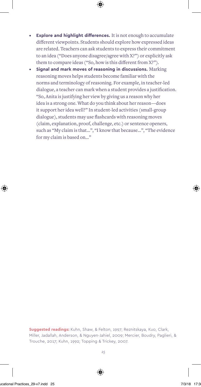⊕

- **• Explore and highlight differences.** It is not enough to accumulate different viewpoints. Students should explore how expressed ideas are related. Teachers can ask students to express their commitment to an idea ("Does anyone disagree/agree with X?") or explicitly ask them to compare ideas ("So, how is this different from X?").
- **• Signal and mark moves of reasoning in discussions.** Marking reasoning moves helps students become familiar with the norms and terminology of reasoning. For example, in teacher-led dialogue, a teacher can mark when a student provides a justification. "So, Anita is justifying her view by giving us a reason why her idea is a strong one. What do you think about her reason—does it support her idea well?" In student-led activities (small-group dialogue), students may use flashcards with reasoning moves (claim, explanation, proof, challenge, etc.) or sentence openers, such as "My claim is that…", "I know that because…", "The evidence for my claim is based on…"

**Suggested readings:** Kuhn, Shaw, & Felton, 1997; Reznitskaya, Kuo, Clark, Miller, Jadallah, Anderson, & Nguyen-Jahiel, 2009; Mercier, Boudry, Paglieri, & Trouche, 2017; Kuhn, 1992; Topping & Trickey, 2007.

⊕

⊕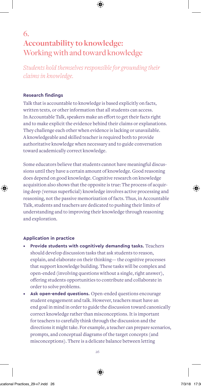### 6. **Accountability to knowledge:**  Working with and toward knowledge

*Students hold themselves responsible for grounding their claims in knowledge.*

#### **Research findings**

Talk that is accountable to knowledge is based explicitly on facts, written texts, or other information that all students can access. In Accountable Talk, speakers make an effort to get their facts right and to make explicit the evidence behind their claims or explanations. They challenge each other when evidence is lacking or unavailable. A knowledgeable and skilled teacher is required both to provide authoritative knowledge when necessary and to guide conversation toward academically correct knowledge.

Some educators believe that students cannot have meaningful discussions until they have a certain amount of knowledge. Good reasoning does depend on good knowledge. Cognitive research on knowledge acquisition also shows that the opposite is true: The process of acquiring deep (versus superficial) knowledge involves active processing and reasoning, not the passive memorization of facts. Thus, in Accountable Talk, students and teachers are dedicated to pushing their limits of understanding and to improving their knowledge through reasoning and exploration.

### **Application in practice**

⊕

- **• Provide students with cognitively demanding tasks.** Teachers should develop discussion tasks that ask students to reason, explain, and elaborate on their thinking— the cognitive processes that support knowledge building. These tasks will be complex and open-ended (involving questions without a single, right answer), offering students opportunities to contribute and collaborate in order to solve problems.
- **• Ask open-ended questions.** Open-ended questions encourage student engagement and talk. However, teachers must have an end goal in mind in order to guide the discussion toward canonically correct knowledge rather than misconceptions. It is important for teachers to carefully think through the discussion and the directions it might take. For example, a teacher can prepare scenarios, prompts, and conceptual diagrams of the target concepts (and misconceptions). There is a delicate balance between letting

⊕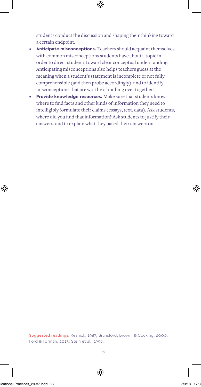students conduct the discussion and shaping their thinking toward a certain endpoint.

⊕

- **• Anticipate misconceptions.** Teachers should acquaint themselves with common misconceptions students have about a topic in order to direct students toward clear conceptual understanding. Anticipating misconceptions also helps teachers guess at the meaning when a student's statement is incomplete or not fully comprehensible (and then probe accordingly), and to identify misconceptions that are worthy of mulling over together.
- **• Provide knowledge resources.** Make sure that students know where to find facts and other kinds of information they need to intelligibly formulate their claims (essays, text, data). Ask students, where did you find that information? Ask students to justify their answers, and to explain what they based their answers on.

**Suggested readings:** Resnick, 1987; Bransford, Brown, & Cocking, 2000; Ford & Forman, 2015; Stein et al., 1996.

۰

⊕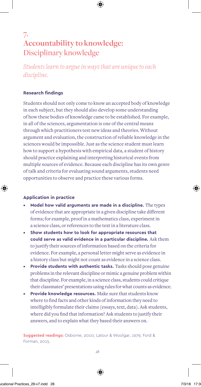### 7. **Accountability to knowledge:**  Disciplinary knowledge

*Students learn to argue in ways that are unique to each discipline.* 

### **Research findings**

Students should not only come to know an accepted body of knowledge in each subject, but they should also develop some understanding of how these bodies of knowledge came to be established. For example, in all of the sciences, argumentation is one of the central means through which practitioners test new ideas and theories. Without argument and evaluation, the construction of reliable knowledge in the sciences would be impossible. Just as the science student must learn how to support a hypothesis with empirical data, a student of history should practice explaining and interpreting historical events from multiple sources of evidence. Because each discipline has its own genre of talk and criteria for evaluating sound arguments, students need opportunities to observe and practice these various forms.

#### **Application in practice**

⊕

- **• Model how valid arguments are made in a discipline.** The types of evidence that are appropriate in a given discipline take different forms; for example, proof in a mathematics class, experiment in a science class, or references to the text in a literature class.
- **• Show students how to look for appropriate resources that could serve as valid evidence in a particular discipline.** Ask them to justify their sources of information based on the criteria for evidence. For example, a personal letter might serve as evidence in a history class but might not count as evidence in a science class.
- **• Provide students with authentic tasks.** Tasks should pose genuine problems in the relevant discipline or mimic a genuine problem within that discipline. For example, in a science class, students could critique their classmates' presentations using rules for what counts as evidence.
- **• Provide knowledge resources.** Make sure that students know where to find facts and other kinds of information they need to intelligibly formulate their claims (essays, text, data). Ask students, where did you find that information? Ask students to justify their answers, and to explain what they based their answers on.

**Suggested readings:** Osborne, 2010; Latour & Woolgar, 1979; Ford & Forman, 2015.

28

⊕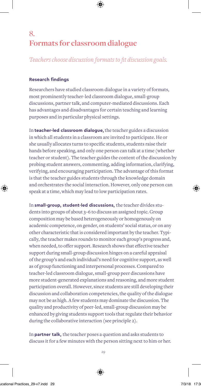### 8. **Formats for classroom dialogue**

*Teachers choose discussion formats to fit discussion goals.* 

### **Research findings**

Researchers have studied classroom dialogue in a variety of formats, most prominently teacher-led classroom dialogue, small-group discussions, partner talk, and computer-mediated discussions. Each has advantages and disadvantages for certain teaching and learning purposes and in particular physical settings.

In **teacher-led classroom dialogue,** the teacher guides a discussion in which all students in a classroom are invited to participate. He or she usually allocates turns to specific students, students raise their hands before speaking, and only one person can talk at a time (whether teacher or student). The teacher guides the content of the discussion by probing student answers, commenting, adding information, clarifying, verifying, and encouraging participation. The advantage of this format is that the teacher guides students through the knowledge domain and orchestrates the social interaction. However, only one person can speak at a time, which may lead to low participation rates.

In **small-group, student-led discussions,** the teacher divides students into groups of about 3–6 to discuss an assigned topic. Group composition may be based heterogeneously or homogenously on academic competence, on gender, on students' social status, or on any other characteristic that is considered important by the teacher. Typically, the teacher makes rounds to monitor each group's progress and, when needed, to offer support. Research shows that effective teacher support during small-group discussion hinges on a careful appraisal of the group's and each individual's need for cognitive support, as well as of group functioning and interpersonal processes. Compared to teacher-led classroom dialogue, small-group peer discussions have more student-generated explanations and reasoning, and more student participation overall. However, since students are still developing their discussion and collaboration competencies, the quality of the dialogue may not be as high. A few students may dominate the discussion. The quality and productivity of peer-led, small-group discussion may be enhanced by giving students support tools that regulate their behavior during the collaborative interaction (see principle 2).

In **partner talk,** the teacher poses a question and asks students to discuss it for a few minutes with the person sitting next to him or her.

29

⊕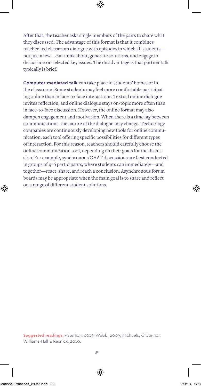After that, the teacher asks single members of the pairs to share what they discussed. The advantage of this format is that it combines teacher-led classroom dialogue with episodes in which all students not just a few—can think about, generate solutions, and engage in discussion on selected key issues. The disadvantage is that partner talk typically is brief.

**Computer-mediated talk** can take place in students' homes or in the classroom. Some students may feel more comfortable participating online than in face-to-face interactions. Textual online dialogue invites reflection, and online dialogue stays on-topic more often than in face-to-face discussion. However, the online format may also dampen engagement and motivation. When there is a time lag between communications, the nature of the dialogue may change. Technology companies are continuously developing new tools for online communication, each tool offering specific possibilities for different types of interaction. Forthis reason, teachers should carefully choose the online communication tool, depending on their goals for the discussion. For example, synchronous CHAT discussions are best conducted in groups of 4–6 participants, where students can immediately—and together—react, share, and reach a conclusion. Asynchronous forum boards may be appropriate when the main goal is to share and reflect on a range of different student solutions.

**Suggested readings:** Asterhan, 2015; Webb, 2009; Michaels, O'Connor, Williams-Hall & Resnick, 2010.

⊕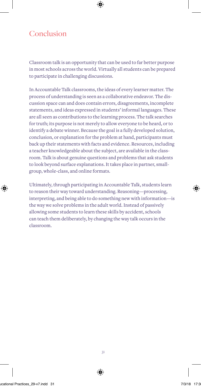### Conclusion

Classroom talk is an opportunity that can be used to far better purpose in most schools across the world. Virtually all students can be prepared to participate in challenging discussions.

In Accountable Talk classrooms, the ideas of every learner matter. The process of understanding is seen as a collaborative endeavor. The discussion space can and does contain errors, disagreements, incomplete statements, and ideas expressed in students' informal languages. These are all seen as contributions to the learning process. The talk searches for truth; its purpose is not merely to allow everyone to be heard, or to identify a debate winner. Because the goal is a fully developed solution, conclusion, or explanation for the problem at hand, participants must back up their statements with facts and evidence. Resources, including a teacher knowledgeable about the subject, are available in the classroom. Talk is about genuine questions and problems that ask students to look beyond surface explanations. It takes place in partner, smallgroup, whole-class, and online formats.

Ultimately, through participating in Accountable Talk, students learn to reason their way toward understanding. Reasoning—processing, interpreting, and being able to do something new with information—is the way we solve problems in the adult world. Instead of passively allowing some students to learn these skills by accident, schools can teach them deliberately, by changing the way talk occurs in the classroom.

31

⊕

⊕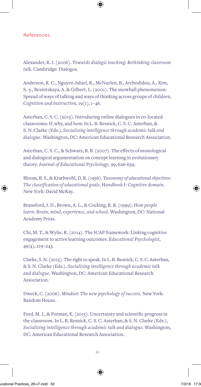### References

Alexander, R. J. (2006). *Towards dialogic teaching: Rethinking classroom talk.* Cambridge: Dialogos.

Anderson, R. C., Nguyen-Jahiel, K., McNurlen, B., Archodidou, A., Kim, S.-y., Reznitskaya, A. & Gilbert, L. (2001). The snowball phenomenon: Spread of ways of talking and ways of thinking across groups of children. *Cognition and Instruction,* 19(1), 1–46.

Asterhan, C. S. C. (2015). Introducing online dialogues in co-located classrooms: If, why, and how. In L. B. Resnick, C. S. C. Asterhan, & S. N. Clarke (Eds.), *Socializing intelligence through academic talk and dialogue.* Washington, DC: American Educational Research Association.

Asterhan, C. S. C., & Schwarz, B. B. (2007). The effects of monological and dialogical argumentation on concept learning in evolutionary theory. *Journal of Educational Psychology,* 99, 626-639.

Bloom, B. S., & Krathwohl, D. R. (1956). *Taxonomy of educational objectives: The classification of educational goals. Handbook I: Cognitive domain.*  New York: David McKay.

Bransford, J. D., Brown, A. L., & Cocking, R. R. (1999). *How people learn: Brain, mind, experience, and school.* Washington, DC: National Academy Press.

Chi, M. T., & Wylie, R. (2014). The ICAP framework: Linking cognitive engagement to active learning outcomes. *Educational Psychologist,*  49(4), 219–243.

Clarke, S. N. (2015). The right to speak. In L. B. Resnick, C. S. C. Asterhan, & S. N. Clarke (Eds.), *Socializing intelligence through academic talk and dialogue.* Washington, DC: American Educational Research Association.

Dweck, C. (2006). *Mindset: The new psychology of success.* New York: Random House.

Ford, M. J., & Forman, E. (2015). Uncertainty and scientific progress in the classroom. In L. B. Resnick, C. S. C. Asterhan, & S. N. Clarke (Eds.), *Socializing intelligence through academic talk and dialogue.* Washington, DC: American Educational Research Association.

⊕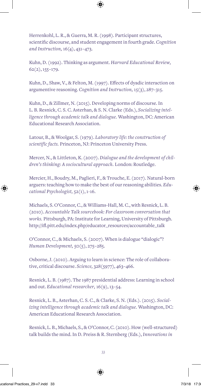Herrenkohl, L. R., & Guerra, M. R. (1998). Participant structures, scientific discourse, and student engagement in fourth grade. *Cognition and Instruction,* 16(4), 431–473.

Kuhn, D. (1992). Thinking as argument. *Harvard Educational Review,*  62(2), 155–179.

Kuhn, D., Shaw, V., & Felton, M. (1997). Effects of dyadic interaction on argumentive reasoning. *Cognition and Instruction,* 15(3), 287–315.

Kuhn, D., & Zillmer, N. (2015). Developing norms of discourse. In L. B. Resnick, C. S. C. Asterhan, & S. N. Clarke (Eds.), *Socializing intelligence through academic talk and dialogue.* Washington, DC: American Educational Research Association.

Latour, B., & Woolgar, S. (1979). *Laboratory life: the construction of scientific facts.* Princeton, NJ: Princeton University Press.

Mercer, N., & Littleton, K. (2007). *Dialogue and the development of children's thinking: A sociocultural approach.* London: Routledge.

Mercier, H., Boudry, M., Paglieri, F., & Trouche, E. (2017). Natural-born arguers: teaching how to make the best of our reasoning abilities. *Educational Psychologist,* 52(1), 1-16.

Michaels, S. O'Connor, C., & Williams-Hall, M. C., with Resnick, L. B. (2010). *Accountable Talk sourcebook: For classroom conversation that works.* Pittsburgh, PA: Institute for Learning, University of Pittsburgh. http://ifl.pitt.edu/index.php/educator\_resources/accountable\_talk

O'Connor, C., & Michaels, S. (2007). When is dialogue "dialogic"? *Human Development,* 50(5), 275–285.

Osborne, J. (2010). Arguing to learn in science: The role of collaborative, critical discourse. *Science,* 328(5977), 463–466.

Resnick, L. B. (1987). The 1987 presidential address: Learning in school and out. *Educational researcher,* 16(9), 13–54.

Resnick, L. B., Asterhan, C. S. C., & Clarke, S. N. (Eds.). (2015). *Socializing intelligence through academic talk and dialogue.* Washington, DC: American Educational Research Association.

Resnick, L. B., Michaels, S., & O'Connor, C. (2010). How (well-structured) talk builds the mind. In D. Preiss & R. Sternberg (Eds.), *Innovations in* 

۰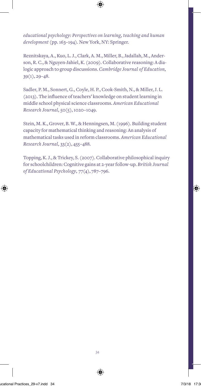*educational psychology: Perspectives on learning, teaching and human development* (pp. 163–194). New York, NY: Springer.

€

Reznitskaya, A., Kuo, L. J., Clark, A. M., Miller, B., Jadallah, M., Anderson, R. C., & Nguyen-Jahiel, K. (2009). Collaborative reasoning: A dialogic approach to group discussions. *Cambridge Journal of Education,*  39(1), 29–48.

Sadler, P. M., Sonnert, G., Coyle, H. P., Cook-Smith, N., & Miller, J. L. (2013). The influence of teachers' knowledge on student learning in middle school physical science classrooms. *American Educational Research Journal,* 50(5), 1020–1049.

Stein, M. K., Grover, B. W., & Henningsen, M. (1996). Building student capacity for mathematical thinking and reasoning: An analysis of mathematical tasks used in reform classrooms. *American Educational Research Journal,* 33(2), 455–488.

Topping, K. J., & Trickey, S. (2007). Collaborative philosophical inquiry for schoolchildren: Cognitive gains at 2-year follow-up. *British Journal of Educational Psychology,* 77(4), 787–796.

⊕

⊕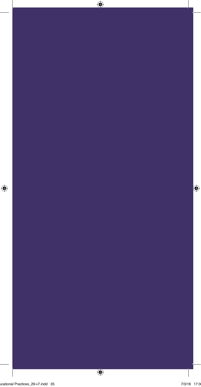